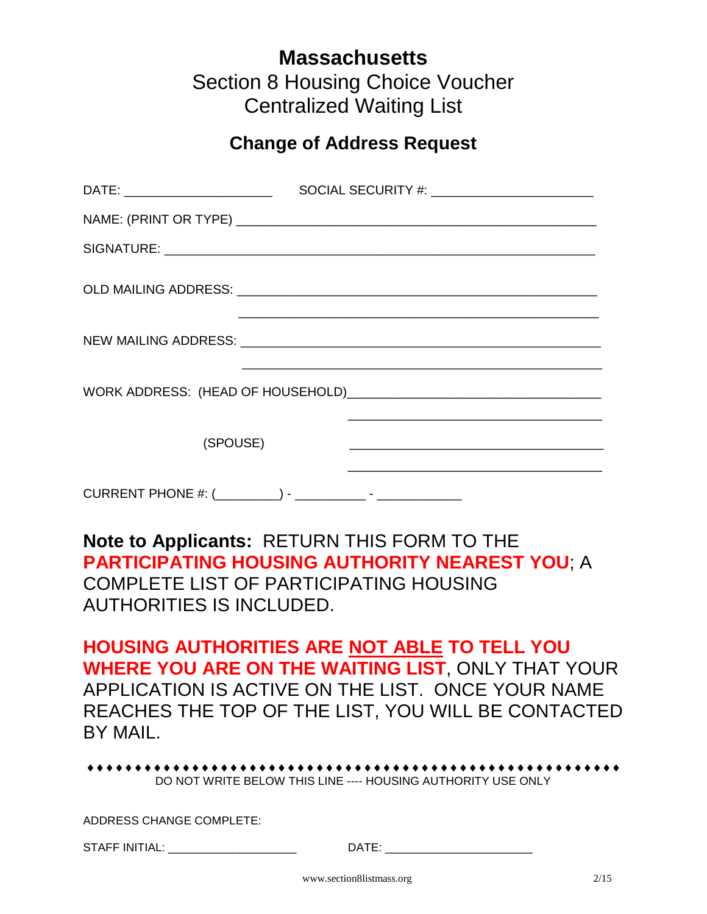## **Massachusetts**  Section 8 Housing Choice Voucher Centralized Waiting List

## **Change of Address Request**

| DATE: _________________________                                      |  |  |  |
|----------------------------------------------------------------------|--|--|--|
|                                                                      |  |  |  |
|                                                                      |  |  |  |
|                                                                      |  |  |  |
|                                                                      |  |  |  |
| <u> 1989 - Johann Barn, mars an t-Amerikaansk politiker (* 1908)</u> |  |  |  |
| (SPOUSE)                                                             |  |  |  |
|                                                                      |  |  |  |

**Note to Applicants:** RETURN THIS FORM TO THE **PARTICIPATING HOUSING AUTHORITY NEAREST YOU**; A COMPLETE LIST OF PARTICIPATING HOUSING AUTHORITIES IS INCLUDED.

**HOUSING AUTHORITIES ARE NOT ABLE TO TELL YOU WHERE YOU ARE ON THE WAITING LIST**, ONLY THAT YOUR APPLICATION IS ACTIVE ON THE LIST. ONCE YOUR NAME REACHES THE TOP OF THE LIST, YOU WILL BE CONTACTED BY MAIL.

 DO NOT WRITE BELOW THIS LINE ---- HOUSING AUTHORITY USE ONLY

ADDRESS CHANGE COMPLETE:

STAFF INITIAL: \_\_\_\_\_\_\_\_\_\_\_\_\_\_\_\_\_\_\_\_ DATE: \_\_\_\_\_\_\_\_\_\_\_\_\_\_\_\_\_\_\_\_\_\_\_